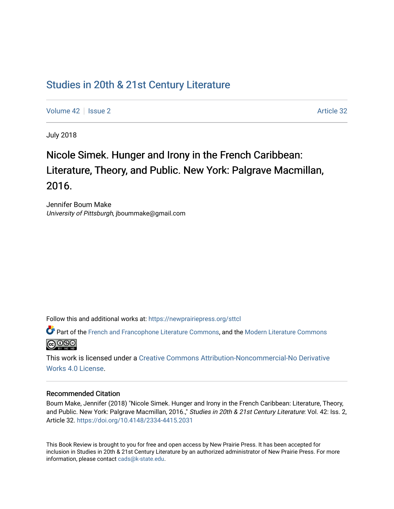## [Studies in 20th & 21st Century Literature](https://newprairiepress.org/sttcl)

[Volume 42](https://newprairiepress.org/sttcl/vol42) | [Issue 2](https://newprairiepress.org/sttcl/vol42/iss2) Article 32

July 2018

# Nicole Simek. Hunger and Irony in the French Caribbean: Literature, Theory, and Public. New York: Palgrave Macmillan, 2016.

Jennifer Boum Make University of Pittsburgh, jboummake@gmail.com

Follow this and additional works at: [https://newprairiepress.org/sttcl](https://newprairiepress.org/sttcl?utm_source=newprairiepress.org%2Fsttcl%2Fvol42%2Fiss2%2F32&utm_medium=PDF&utm_campaign=PDFCoverPages) 

Part of the [French and Francophone Literature Commons,](http://network.bepress.com/hgg/discipline/465?utm_source=newprairiepress.org%2Fsttcl%2Fvol42%2Fiss2%2F32&utm_medium=PDF&utm_campaign=PDFCoverPages) and the [Modern Literature Commons](http://network.bepress.com/hgg/discipline/1050?utm_source=newprairiepress.org%2Fsttcl%2Fvol42%2Fiss2%2F32&utm_medium=PDF&utm_campaign=PDFCoverPages) <u>@ 000</u>

This work is licensed under a [Creative Commons Attribution-Noncommercial-No Derivative](https://creativecommons.org/licenses/by-nc-nd/4.0/)  [Works 4.0 License](https://creativecommons.org/licenses/by-nc-nd/4.0/).

#### Recommended Citation

Boum Make, Jennifer (2018) "Nicole Simek. Hunger and Irony in the French Caribbean: Literature, Theory, and Public. New York: Palgrave Macmillan, 2016.," Studies in 20th & 21st Century Literature: Vol. 42: Iss. 2, Article 32. <https://doi.org/10.4148/2334-4415.2031>

This Book Review is brought to you for free and open access by New Prairie Press. It has been accepted for inclusion in Studies in 20th & 21st Century Literature by an authorized administrator of New Prairie Press. For more information, please contact [cads@k-state.edu](mailto:cads@k-state.edu).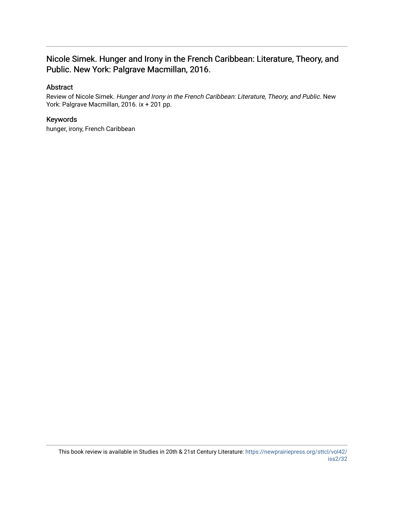## Nicole Simek. Hunger and Irony in the French Caribbean: Literature, Theory, and Public. New York: Palgrave Macmillan, 2016.

## Abstract

Review of Nicole Simek. Hunger and Irony in the French Caribbean: Literature, Theory, and Public. New York: Palgrave Macmillan, 2016. ix + 201 pp.

### Keywords

hunger, irony, French Caribbean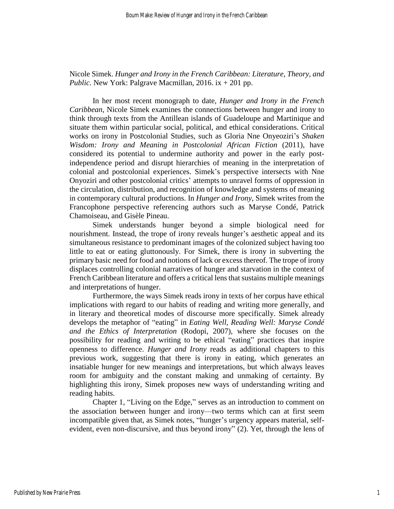Nicole Simek. *Hunger and Irony in the French Caribbean: Literature, Theory, and Public*. New York: Palgrave Macmillan, 2016. ix + 201 pp.

In her most recent monograph to date, *Hunger and Irony in the French Caribbean*, Nicole Simek examines the connections between hunger and irony to think through texts from the Antillean islands of Guadeloupe and Martinique and situate them within particular social, political, and ethical considerations. Critical works on irony in Postcolonial Studies, such as Gloria Nne Onyeoziri's *Shaken Wisdom: Irony and Meaning in Postcolonial African Fiction* (2011), have considered its potential to undermine authority and power in the early postindependence period and disrupt hierarchies of meaning in the interpretation of colonial and postcolonial experiences. Simek's perspective intersects with Nne Onyoziri and other postcolonial critics' attempts to unravel forms of oppression in the circulation, distribution, and recognition of knowledge and systems of meaning in contemporary cultural productions. In *Hunger and Irony*, Simek writes from the Francophone perspective referencing authors such as Maryse Condé, Patrick Chamoiseau, and Gisèle Pineau.

Simek understands hunger beyond a simple biological need for nourishment. Instead, the trope of irony reveals hunger's aesthetic appeal and its simultaneous resistance to predominant images of the colonized subject having too little to eat or eating gluttonously. For Simek, there is irony in subverting the primary basic need for food and notions of lack or excess thereof. The trope of irony displaces controlling colonial narratives of hunger and starvation in the context of French Caribbean literature and offers a critical lens that sustains multiple meanings and interpretations of hunger.

Furthermore, the ways Simek reads irony in texts of her corpus have ethical implications with regard to our habits of reading and writing more generally, and in literary and theoretical modes of discourse more specifically. Simek already develops the metaphor of "eating" in *Eating Well, Reading Well: Maryse Condé and the Ethics of Interpretation* (Rodopi, 2007), where she focuses on the possibility for reading and writing to be ethical "eating" practices that inspire openness to difference. *Hunger and Irony* reads as additional chapters to this previous work, suggesting that there is irony in eating, which generates an insatiable hunger for new meanings and interpretations, but which always leaves room for ambiguity and the constant making and unmaking of certainty. By highlighting this irony, Simek proposes new ways of understanding writing and reading habits.

Chapter 1, "Living on the Edge," serves as an introduction to comment on the association between hunger and irony—two terms which can at first seem incompatible given that, as Simek notes, "hunger's urgency appears material, selfevident, even non-discursive, and thus beyond irony" (2). Yet, through the lens of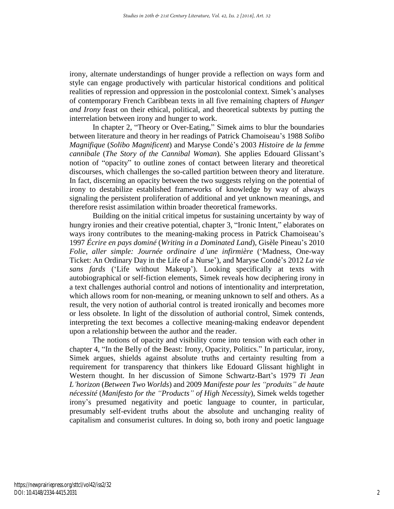irony, alternate understandings of hunger provide a reflection on ways form and style can engage productively with particular historical conditions and political realities of repression and oppression in the postcolonial context. Simek's analyses of contemporary French Caribbean texts in all five remaining chapters of *Hunger and Irony* feast on their ethical, political, and theoretical subtexts by putting the interrelation between irony and hunger to work.

In chapter 2, "Theory or Over-Eating," Simek aims to blur the boundaries between literature and theory in her readings of Patrick Chamoiseau's 1988 *Solibo Magnifique* (*Solibo Magnificent*) and Maryse Condé's 2003 *Histoire de la femme cannibale* (*The Story of the Cannibal Woman*)*.* She applies Edouard Glissant's notion of "opacity" to outline zones of contact between literary and theoretical discourses, which challenges the so-called partition between theory and literature. In fact, discerning an opacity between the two suggests relying on the potential of irony to destabilize established frameworks of knowledge by way of always signaling the persistent proliferation of additional and yet unknown meanings, and therefore resist assimilation within broader theoretical frameworks.

Building on the initial critical impetus for sustaining uncertainty by way of hungry ironies and their creative potential, chapter 3, "Ironic Intent," elaborates on ways irony contributes to the meaning-making process in Patrick Chamoiseau's 1997 *Écrire en pays dominé* (*Writing in a Dominated Land*), Gisèle Pineau's 2010 *Folie, aller simple: Journée ordinaire d'une infirmière* ('Madness, One-way Ticket: An Ordinary Day in the Life of a Nurse'), and Maryse Condé's 2012 *La vie sans fards* ('Life without Makeup'). Looking specifically at texts with autobiographical or self-fiction elements, Simek reveals how deciphering irony in a text challenges authorial control and notions of intentionality and interpretation, which allows room for non-meaning, or meaning unknown to self and others. As a result, the very notion of authorial control is treated ironically and becomes more or less obsolete. In light of the dissolution of authorial control, Simek contends, interpreting the text becomes a collective meaning-making endeavor dependent upon a relationship between the author and the reader.

The notions of opacity and visibility come into tension with each other in chapter 4, "In the Belly of the Beast: Irony, Opacity, Politics." In particular, irony, Simek argues, shields against absolute truths and certainty resulting from a requirement for transparency that thinkers like Edouard Glissant highlight in Western thought. In her discussion of Simone Schwartz-Bart's 1979 *Ti Jean L'horizon* (*Between Two Worlds*) and 2009 *Manifeste pour les "produits" de haute nécessité* (*Manifesto for the "Products" of High Necessity*), Simek welds together irony's presumed negativity and poetic language to counter, in particular, presumably self-evident truths about the absolute and unchanging reality of capitalism and consumerist cultures. In doing so, both irony and poetic language